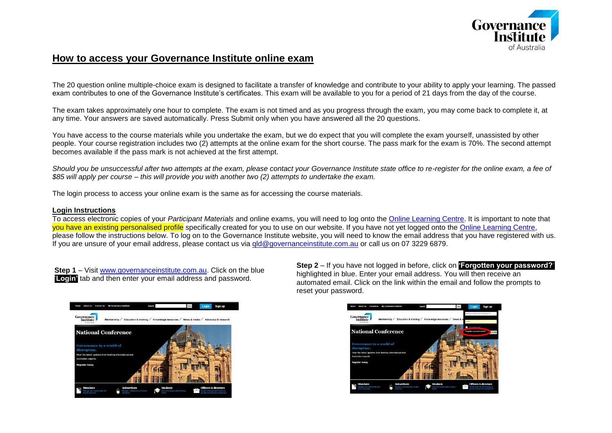

## **How to access your Governance Institute online exam**

The 20 question online multiple-choice exam is designed to facilitate a transfer of knowledge and contribute to your ability to apply your learning. The passed exam contributes to one of the Governance Institute's certificates. This exam will be available to you for a period of 21 days from the day of the course.

The exam takes approximately one hour to complete. The exam is not timed and as you progress through the exam, you may come back to complete it, at any time. Your answers are saved automatically. Press Submit only when you have answered all the 20 questions.

You have access to the course materials while you undertake the exam, but we do expect that you will complete the exam yourself, unassisted by other people. Your course registration includes two (2) attempts at the online exam for the short course. The pass mark for the exam is 70%. The second attempt becomes available if the pass mark is not achieved at the first attempt.

*Should you be unsuccessful after two attempts at the exam, please contact your Governance Institute state office to re-register for the online exam, a fee of \$85 will apply per course – this will provide you with another two (2) attempts to undertake the exam.*

The login process to access your online exam is the same as for accessing the course materials.

## **Login Instructions**

To access electronic copies of your *Participant Materials* and online exams, you will need to log onto the [Online Learning Centre.](http://www.governanceinstitute.com.au/#Tab=3) It is important to note that you have an existing personalised profile specifically created for you to use on our website. If you have not yet logged onto the [Online Learning Centre,](http://www.governanceinstitute.com.au/#Tab=3) please follow the instructions below. To log on to the Governance Institute website, you will need to know the email address that you have registered with us. If you are unsure of your email address, please contact us via gld@governanceinstitute.com.au or call us on 07 3229 6879.

**Step 1** – Visit [www.governanceinstitute.com.au.](http://www.governanceinstitute.com.au/) Click on the blue '**Login'** tab and then enter your email address and password.